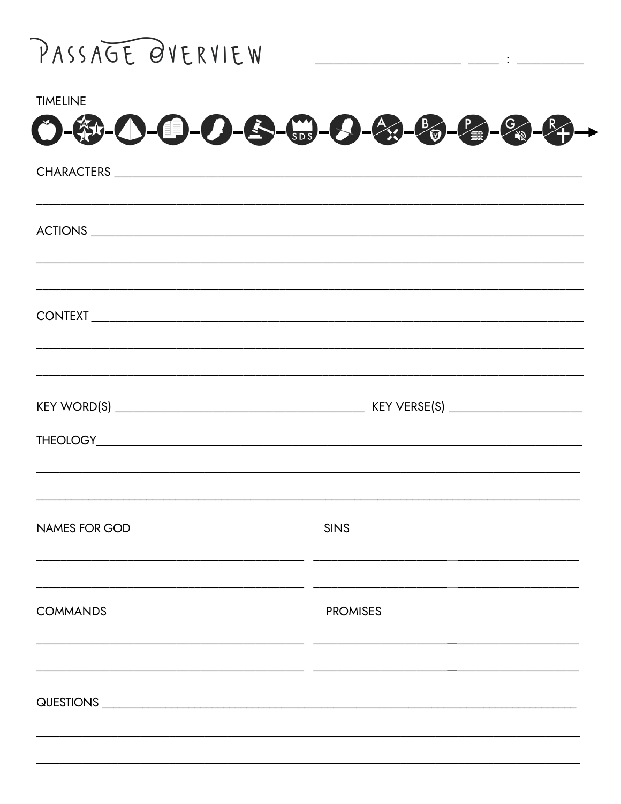

| <b>TIMELINE</b>                                            |                                                                                  |
|------------------------------------------------------------|----------------------------------------------------------------------------------|
| $O - 12 - 12 - 12 - 13 - 12 - 12 - 12 - 12 - 12 - 12 - 12$ |                                                                                  |
|                                                            |                                                                                  |
|                                                            |                                                                                  |
|                                                            |                                                                                  |
|                                                            | ,我们也不能在这里的,我们也不能在这里的时候,我们也不能在这里的时候,我们也不能不能不能不能不能不能不能不能不能不能。""我们的是我们的,我们也不能不能不能不能 |
|                                                            |                                                                                  |
|                                                            |                                                                                  |
|                                                            |                                                                                  |
|                                                            |                                                                                  |
|                                                            |                                                                                  |
|                                                            |                                                                                  |
| <b>NAMES FOR GOD</b>                                       | <b>SINS</b>                                                                      |
|                                                            |                                                                                  |
| <b>COMMANDS</b>                                            | <b>PROMISES</b>                                                                  |
|                                                            |                                                                                  |
|                                                            |                                                                                  |
|                                                            |                                                                                  |
|                                                            |                                                                                  |